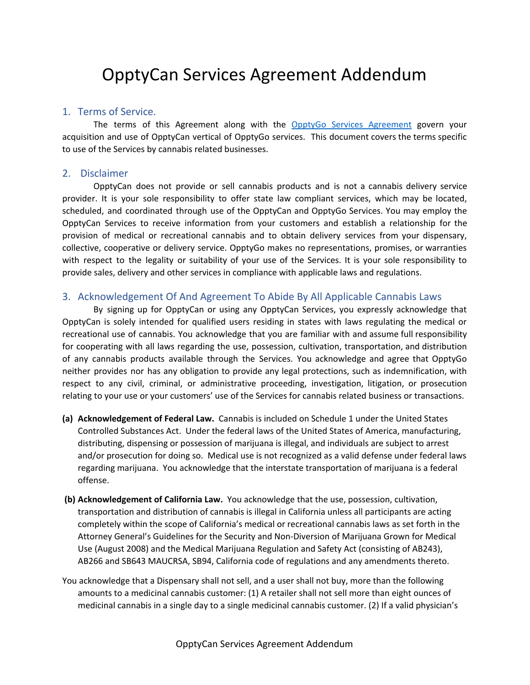# OpptyCan Services Agreement Addendum

#### 1. Terms of Service.

The terms of this Agreement along with the OpptyGo Services [Agreement](https://www.opptygo.com/OpptyGo%20Services%20Agreement.pdf) govern your acquisition and use of OpptyCan vertical of OpptyGo services. This document covers the terms specific to use of the Services by cannabis related businesses.

#### 2. Disclaimer

OpptyCan does not provide or sell cannabis products and is not a cannabis delivery service provider. It is your sole responsibility to offer state law compliant services, which may be located, scheduled, and coordinated through use of the OpptyCan and OpptyGo Services. You may employ the OpptyCan Services to receive information from your customers and establish a relationship for the provision of medical or recreational cannabis and to obtain delivery services from your dispensary, collective, cooperative or delivery service. OpptyGo makes no representations, promises, or warranties with respect to the legality or suitability of your use of the Services. It is your sole responsibility to provide sales, delivery and other services in compliance with applicable laws and regulations.

## 3. Acknowledgement Of And Agreement To Abide By All Applicable Cannabis Laws

By signing up for OpptyCan or using any OpptyCan Services, you expressly acknowledge that OpptyCan is solely intended for qualified users residing in states with laws regulating the medical or recreational use of cannabis. You acknowledge that you are familiar with and assume full responsibility for cooperating with all laws regarding the use, possession, cultivation, transportation, and distribution of any cannabis products available through the Services. You acknowledge and agree that OpptyGo neither provides nor has any obligation to provide any legal protections, such as indemnification, with respect to any civil, criminal, or administrative proceeding, investigation, litigation, or prosecution relating to your use or your customers' use of the Services for cannabis related business or transactions.

- **(a) Acknowledgement of Federal Law.** Cannabis is included on Schedule 1 under the United States Controlled Substances Act. Under the federal laws of the United States of America, manufacturing, distributing, dispensing or possession of marijuana is illegal, and individuals are subject to arrest and/or prosecution for doing so. Medical use is not recognized as a valid defense under federal laws regarding marijuana. You acknowledge that the interstate transportation of marijuana is a federal offense.
- **(b) Acknowledgement of California Law.** You acknowledge that the use, possession, cultivation, transportation and distribution of cannabis is illegal in California unless all participants are acting completely within the scope of California's medical or recreational cannabis laws as set forth in the Attorney General's Guidelines for the Security and Non-Diversion of Marijuana Grown for Medical Use (August 2008) and the Medical Marijuana Regulation and Safety Act (consisting of AB243), AB266 and SB643 MAUCRSA, SB94, California code of regulations and any amendments thereto.
- You acknowledge that a Dispensary shall not sell, and a user shall not buy, more than the following amounts to a medicinal cannabis customer: (1) A retailer shall not sell more than eight ounces of medicinal cannabis in a single day to a single medicinal cannabis customer. (2) If a valid physician's